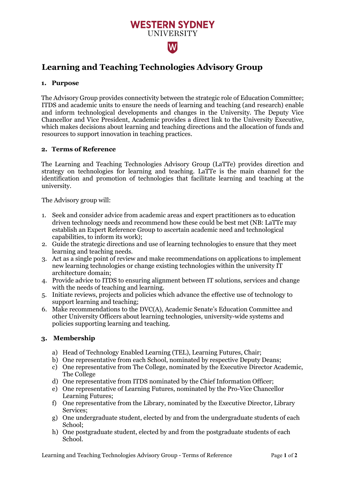# **Learning and Teaching Technologies Advisory Group**

# **1. Purpose**

The Advisory Group provides connectivity between the strategic role of Education Committee; ITDS and academic units to ensure the needs of learning and teaching (and research) enable and inform technological developments and changes in the University. The Deputy Vice Chancellor and Vice President, Academic provides a direct link to the University Executive, which makes decisions about learning and teaching directions and the allocation of funds and resources to support innovation in teaching practices.

**WESTERN SYDNEY UNIVERSITY** 

W

# **2. Terms of Reference**

The Learning and Teaching Technologies Advisory Group (LaTTe) provides direction and strategy on technologies for learning and teaching. LaTTe is the main channel for the identification and promotion of technologies that facilitate learning and teaching at the university.

The Advisory group will:

- 1. Seek and consider advice from academic areas and expert practitioners as to education driven technology needs and recommend how these could be best met (NB: LaTTe may establish an Expert Reference Group to ascertain academic need and technological capabilities, to inform its work);
- 2. Guide the strategic directions and use of learning technologies to ensure that they meet learning and teaching needs.
- 3. Act as a single point of review and make recommendations on applications to implement new learning technologies or change existing technologies within the university IT architecture domain;
- 4. Provide advice to ITDS to ensuring alignment between IT solutions, services and change with the needs of teaching and learning.
- 5. Initiate reviews, projects and policies which advance the effective use of technology to support learning and teaching;
- 6. Make recommendations to the DVC(A), Academic Senate's Education Committee and other University Officers about learning technologies, university-wide systems and policies supporting learning and teaching.

### **3. Membership**

- a) Head of Technology Enabled Learning (TEL), Learning Futures, Chair;
- b) One representative from each School, nominated by respective Deputy Deans;
- c) One representative from The College, nominated by the Executive Director Academic, The College
- d) One representative from ITDS nominated by the Chief Information Officer;
- e) One representative of Learning Futures, nominated by the Pro-Vice Chancellor Learning Futures;
- f) One representative from the Library, nominated by the Executive Director, Library Services;
- g) One undergraduate student, elected by and from the undergraduate students of each School;
- h) One postgraduate student, elected by and from the postgraduate students of each School.